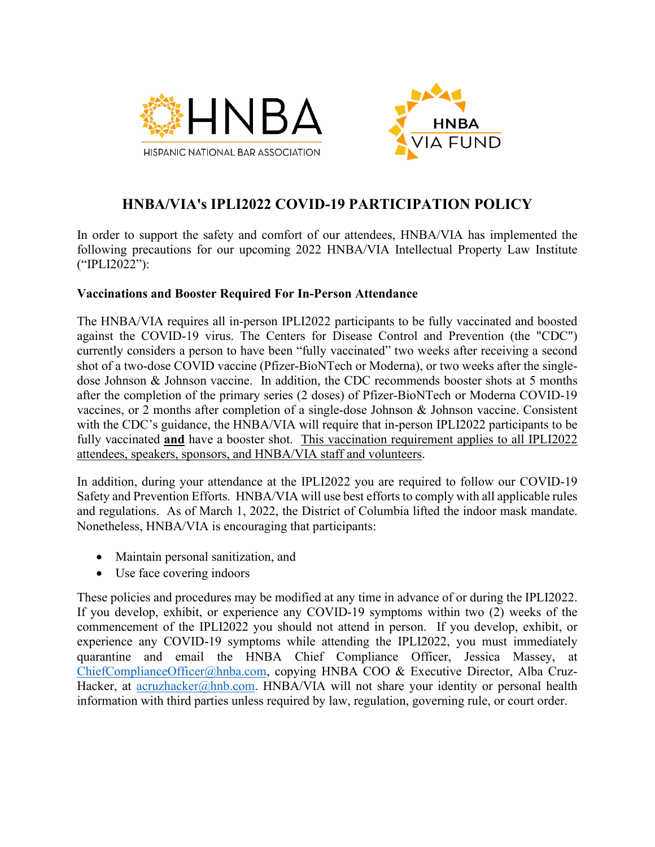



# **HNBA/VIA's IPLI2022 COVID-19 PARTICIPATION POLICY**

In order to support the safety and comfort of our attendees, HNBA/VIA has implemented the following precautions for our upcoming 2022 HNBA/VIA Intellectual Property Law Institute ("IPLI2022"):

## **Vaccinations and Booster Required For In-Person Attendance**

The HNBA/VIA requires all in-person IPLI2022 participants to be fully vaccinated and boosted against the COVID-19 virus. The Centers for Disease Control and Prevention (the "CDC") currently considers a person to have been "fully vaccinated" two weeks after receiving a second shot of a two-dose COVID vaccine (Pfizer-BioNTech or Moderna), or two weeks after the singledose Johnson & Johnson vaccine. In addition, the CDC recommends booster shots at 5 months after the completion of the primary series (2 doses) of Pfizer-BioNTech or Moderna COVID-19 vaccines, or 2 months after completion of a single-dose Johnson & Johnson vaccine. Consistent with the CDC's guidance, the HNBA/VIA will require that in-person IPLI2022 participants to be fully vaccinated **and** have a booster shot. This vaccination requirement applies to all IPLI2022 attendees, speakers, sponsors, and HNBA/VIA staff and volunteers.

In addition, during your attendance at the IPLI2022 you are required to follow our COVID-19 Safety and Prevention Efforts. HNBA/VIA will use best efforts to comply with all applicable rules and regulations. As of March 1, 2022, the District of Columbia lifted the indoor mask mandate. Nonetheless, HNBA/VIA is encouraging that participants:

- Maintain personal sanitization, and
- Use face covering indoors

These policies and procedures may be modified at any time in advance of or during the IPLI2022. If you develop, exhibit, or experience any COVID-19 symptoms within two (2) weeks of the commencement of the IPLI2022 you should not attend in person. If you develop, exhibit, or experience any COVID-19 symptoms while attending the IPLI2022, you must immediately quarantine and email the HNBA Chief Compliance Officer, Jessica Massey, at [ChiefComplianceOfficer@hnba.com,](mailto:ChiefComplianceOfficer@hnba.com) copying HNBA COO & Executive Director, Alba CruzHacker, at [acruzhacker@hnb.com.](mailto:acruzhacker@hnb.com) HNBA/VIA will not share your identity or personal health information with third parties unless required by law, regulation, governing rule, or court order.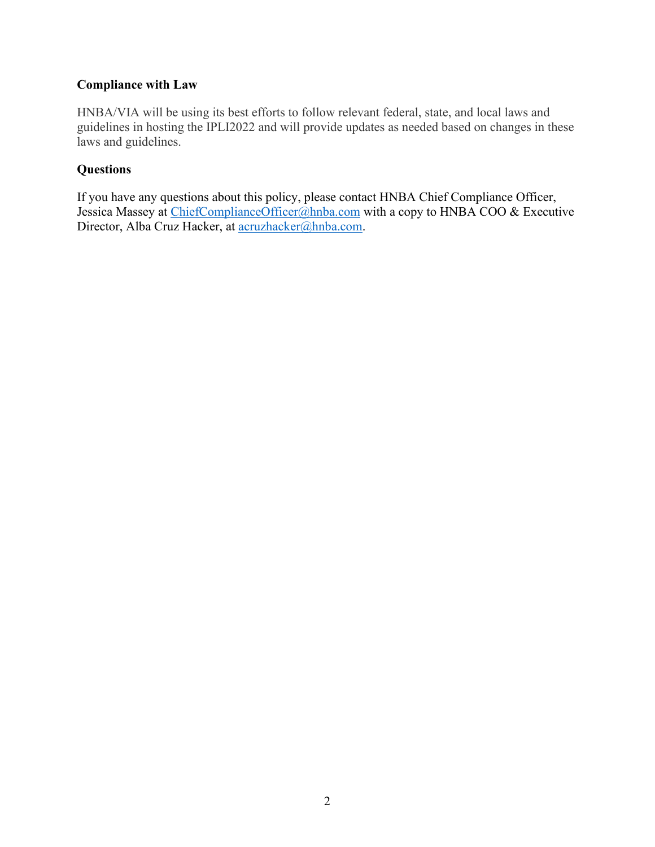## **Compliance with Law**

HNBA/VIA will be using its best efforts to follow relevant federal, state, and local laws and guidelines in hosting the IPLI2022 and will provide updates as needed based on changes in these laws and guidelines.

#### **Questions**

If you have any questions about this policy, please contact HNBA Chief Compliance Officer, Jessica Massey at [ChiefComplianceOfficer@hnba.com](mailto:ChiefComplianceOfficer@hnba.com) with a copy to HNBA COO & Executive Director, Alba Cruz Hacker, at [acruzhacker@hnba.com.](mailto:acruzhacker@hnba.com)